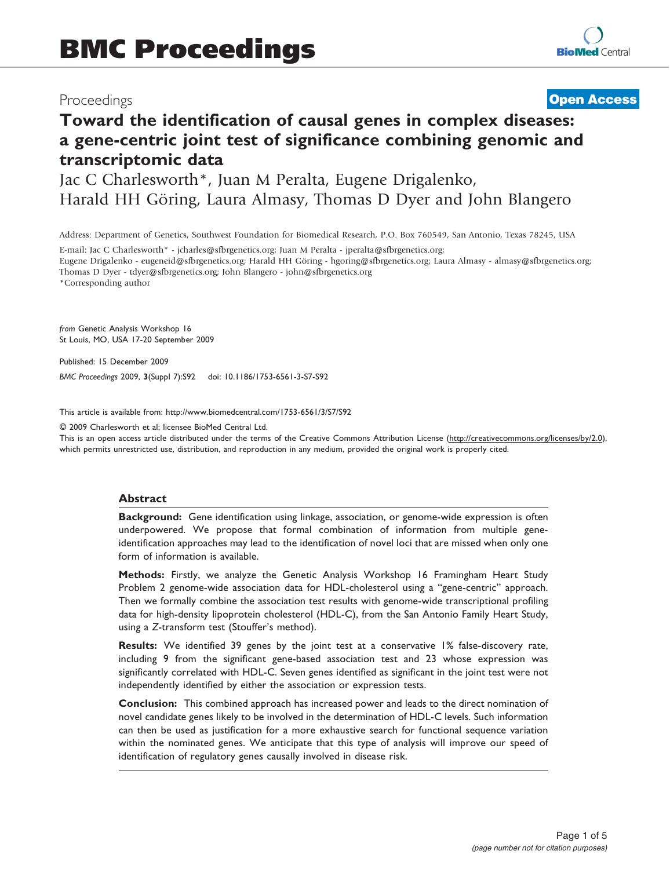## Proceedings

## **[Open Access](http://www.biomedcentral.com/info/about/charter/)**

# Toward the identification of causal genes in complex diseases: a gene-centric joint test of significance combining genomic and transcriptomic data

Jac C Charlesworth\*, Juan M Peralta, Eugene Drigalenko, Harald HH Göring, Laura Almasy, Thomas D Dyer and John Blangero

Address: Department of Genetics, Southwest Foundation for Biomedical Research, P.O. Box 760549, San Antonio, Texas 78245, USA

E-mail: Jac C Charlesworth\* - [jcharles@sfbrgenetics.org;](mailto:jcharles@sfbrgenetics.org) Juan M Peralta - [jperalta@sfbrgenetics.org;](mailto:jperalta@sfbrgenetics.org) Eugene Drigalenko - [eugeneid@sfbrgenetics.org](mailto:eugeneid@sfbrgenetics.org); Harald HH Göring - [hgoring@sfbrgenetics.org](mailto:hgoring@sfbrgenetics.org); Laura Almasy - [almasy@sfbrgenetics.org;](mailto:almasy@sfbrgenetics.org) Thomas D Dyer - [tdyer@sfbrgenetics.org;](mailto:tdyer@sfbrgenetics.org) John Blangero - [john@sfbrgenetics.org](mailto:john@sfbrgenetics.org) \*Corresponding author

from Genetic Analysis Workshop 16 St Louis, MO, USA 17-20 September 2009

Published: 15 December 2009

BMC Proceedings 2009, 3(Suppl 7):S92 doi: 10.1186/1753-6561-3-S7-S92

This article is available from: http://www.biomedcentral.com/1753-6561/3/S7/S92

© 2009 Charlesworth et al; licensee BioMed Central Ltd.

This is an open access article distributed under the terms of the Creative Commons Attribution License [\(http://creativecommons.org/licenses/by/2.0\)](http://creativecommons.org/licenses/by/2.0), which permits unrestricted use, distribution, and reproduction in any medium, provided the original work is properly cited.

#### **Abstract**

Background: Gene identification using linkage, association, or genome-wide expression is often underpowered. We propose that formal combination of information from multiple geneidentification approaches may lead to the identification of novel loci that are missed when only one form of information is available.

Methods: Firstly, we analyze the Genetic Analysis Workshop 16 Framingham Heart Study Problem 2 genome-wide association data for HDL-cholesterol using a "gene-centric" approach. Then we formally combine the association test results with genome-wide transcriptional profiling data for high-density lipoprotein cholesterol (HDL-C), from the San Antonio Family Heart Study, using a Z-transform test (Stouffer's method).

Results: We identified 39 genes by the joint test at a conservative 1% false-discovery rate, including 9 from the significant gene-based association test and 23 whose expression was significantly correlated with HDL-C. Seven genes identified as significant in the joint test were not independently identified by either the association or expression tests.

Conclusion: This combined approach has increased power and leads to the direct nomination of novel candidate genes likely to be involved in the determination of HDL-C levels. Such information can then be used as justification for a more exhaustive search for functional sequence variation within the nominated genes. We anticipate that this type of analysis will improve our speed of identification of regulatory genes causally involved in disease risk.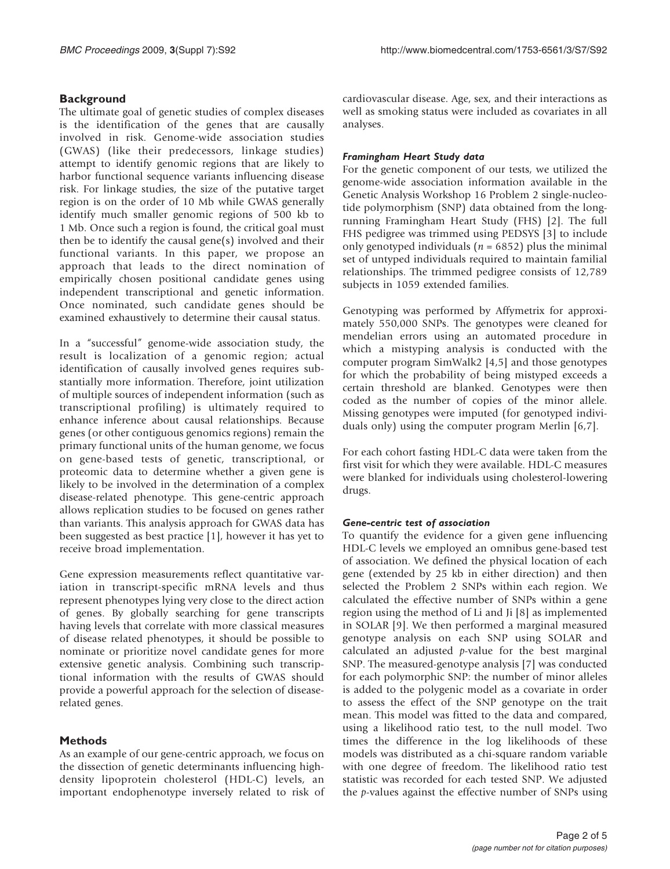## **Background**

The ultimate goal of genetic studies of complex diseases is the identification of the genes that are causally involved in risk. Genome-wide association studies (GWAS) (like their predecessors, linkage studies) attempt to identify genomic regions that are likely to harbor functional sequence variants influencing disease risk. For linkage studies, the size of the putative target region is on the order of 10 Mb while GWAS generally identify much smaller genomic regions of 500 kb to 1 Mb. Once such a region is found, the critical goal must then be to identify the causal gene(s) involved and their functional variants. In this paper, we propose an approach that leads to the direct nomination of empirically chosen positional candidate genes using independent transcriptional and genetic information. Once nominated, such candidate genes should be examined exhaustively to determine their causal status.

In a "successful" genome-wide association study, the result is localization of a genomic region; actual identification of causally involved genes requires substantially more information. Therefore, joint utilization of multiple sources of independent information (such as transcriptional profiling) is ultimately required to enhance inference about causal relationships. Because genes (or other contiguous genomics regions) remain the primary functional units of the human genome, we focus on gene-based tests of genetic, transcriptional, or proteomic data to determine whether a given gene is likely to be involved in the determination of a complex disease-related phenotype. This gene-centric approach allows replication studies to be focused on genes rather than variants. This analysis approach for GWAS data has been suggested as best practice [[1](#page-4-0)], however it has yet to receive broad implementation.

Gene expression measurements reflect quantitative variation in transcript-specific mRNA levels and thus represent phenotypes lying very close to the direct action of genes. By globally searching for gene transcripts having levels that correlate with more classical measures of disease related phenotypes, it should be possible to nominate or prioritize novel candidate genes for more extensive genetic analysis. Combining such transcriptional information with the results of GWAS should provide a powerful approach for the selection of diseaserelated genes.

#### Methods

As an example of our gene-centric approach, we focus on the dissection of genetic determinants influencing highdensity lipoprotein cholesterol (HDL-C) levels, an important endophenotype inversely related to risk of cardiovascular disease. Age, sex, and their interactions as well as smoking status were included as covariates in all analyses.

#### Framingham Heart Study data

For the genetic component of our tests, we utilized the genome-wide association information available in the Genetic Analysis Workshop 16 Problem 2 single-nucleotide polymorphism (SNP) data obtained from the longrunning Framingham Heart Study (FHS) [[2](#page-4-0)]. The full FHS pedigree was trimmed using PEDSYS [[3](#page-4-0)] to include only genotyped individuals ( $n = 6852$ ) plus the minimal set of untyped individuals required to maintain familial relationships. The trimmed pedigree consists of 12,789 subjects in 1059 extended families.

Genotyping was performed by Affymetrix for approximately 550,000 SNPs. The genotypes were cleaned for mendelian errors using an automated procedure in which a mistyping analysis is conducted with the computer program SimWalk2 [[4](#page-4-0),[5](#page-4-0)] and those genotypes for which the probability of being mistyped exceeds a certain threshold are blanked. Genotypes were then coded as the number of copies of the minor allele. Missing genotypes were imputed (for genotyped individuals only) using the computer program Merlin [\[6,7\]](#page-4-0).

For each cohort fasting HDL-C data were taken from the first visit for which they were available. HDL-C measures were blanked for individuals using cholesterol-lowering drugs.

#### Gene-centric test of association

To quantify the evidence for a given gene influencing HDL-C levels we employed an omnibus gene-based test of association. We defined the physical location of each gene (extended by 25 kb in either direction) and then selected the Problem 2 SNPs within each region. We calculated the effective number of SNPs within a gene region using the method of Li and Ji [\[8\]](#page-4-0) as implemented in SOLAR [[9](#page-4-0)]. We then performed a marginal measured genotype analysis on each SNP using SOLAR and calculated an adjusted  $p$ -value for the best marginal SNP. The measured-genotype analysis [[7](#page-4-0)] was conducted for each polymorphic SNP: the number of minor alleles is added to the polygenic model as a covariate in order to assess the effect of the SNP genotype on the trait mean. This model was fitted to the data and compared, using a likelihood ratio test, to the null model. Two times the difference in the log likelihoods of these models was distributed as a chi-square random variable with one degree of freedom. The likelihood ratio test statistic was recorded for each tested SNP. We adjusted the p-values against the effective number of SNPs using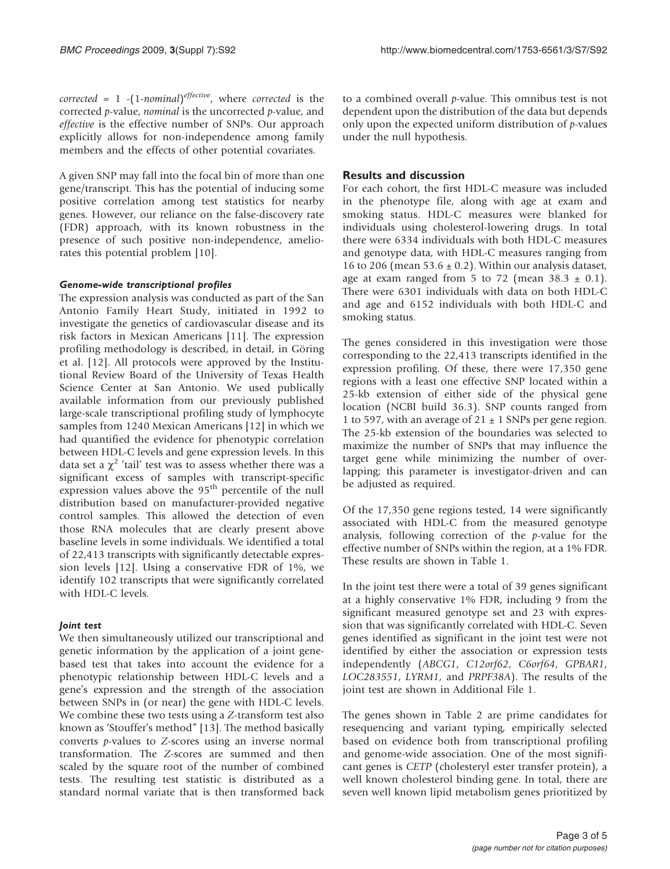corrected =  $1$  -(1-nominal)<sup>effective</sup>, where corrected is the corrected p-value, nominal is the uncorrected p-value, and effective is the effective number of SNPs. Our approach explicitly allows for non-independence among family members and the effects of other potential covariates.

A given SNP may fall into the focal bin of more than one gene/transcript. This has the potential of inducing some positive correlation among test statistics for nearby genes. However, our reliance on the false-discovery rate (FDR) approach, with its known robustness in the presence of such positive non-independence, ameliorates this potential problem [[10\]](#page-4-0).

#### Genome-wide transcriptional profiles

The expression analysis was conducted as part of the San Antonio Family Heart Study, initiated in 1992 to investigate the genetics of cardiovascular disease and its risk factors in Mexican Americans [[11\]](#page-4-0). The expression profiling methodology is described, in detail, in Göring et al. [[12](#page-4-0)]. All protocols were approved by the Institutional Review Board of the University of Texas Health Science Center at San Antonio. We used publically available information from our previously published large-scale transcriptional profiling study of lymphocyte samples from 1240 Mexican Americans [[12\]](#page-4-0) in which we had quantified the evidence for phenotypic correlation between HDL-C levels and gene expression levels. In this data set a  $\chi^2$  'tail' test was to assess whether there was a significant excess of samples with transcript-specific expression values above the 95<sup>th</sup> percentile of the null distribution based on manufacturer-provided negative control samples. This allowed the detection of even those RNA molecules that are clearly present above baseline levels in some individuals. We identified a total of 22,413 transcripts with significantly detectable expression levels [[12\]](#page-4-0). Using a conservative FDR of 1%, we identify 102 transcripts that were significantly correlated with HDL-C levels.

#### Joint test

We then simultaneously utilized our transcriptional and genetic information by the application of a joint genebased test that takes into account the evidence for a phenotypic relationship between HDL-C levels and a gene's expression and the strength of the association between SNPs in (or near) the gene with HDL-C levels. We combine these two tests using a Z-transform test also known as 'Stouffer's method" [\[13](#page-4-0)]. The method basically converts p-values to Z-scores using an inverse normal transformation. The Z-scores are summed and then scaled by the square root of the number of combined tests. The resulting test statistic is distributed as a standard normal variate that is then transformed back to a combined overall p-value. This omnibus test is not dependent upon the distribution of the data but depends only upon the expected uniform distribution of  $p$ -values under the null hypothesis.

#### Results and discussion

For each cohort, the first HDL-C measure was included in the phenotype file, along with age at exam and smoking status. HDL-C measures were blanked for individuals using cholesterol-lowering drugs. In total there were 6334 individuals with both HDL-C measures and genotype data, with HDL-C measures ranging from 16 to 206 (mean  $53.6 \pm 0.2$ ). Within our analysis dataset, age at exam ranged from 5 to 72 (mean  $38.3 \pm 0.1$ ). There were 6301 individuals with data on both HDL-C and age and 6152 individuals with both HDL-C and smoking status.

The genes considered in this investigation were those corresponding to the 22,413 transcripts identified in the expression profiling. Of these, there were 17,350 gene regions with a least one effective SNP located within a 25-kb extension of either side of the physical gene location (NCBI build 36.3). SNP counts ranged from 1 to 597, with an average of  $21 \pm 1$  SNPs per gene region. The 25-kb extension of the boundaries was selected to maximize the number of SNPs that may influence the target gene while minimizing the number of overlapping; this parameter is investigator-driven and can be adjusted as required.

Of the 17,350 gene regions tested, 14 were significantly associated with HDL-C from the measured genotype analysis, following correction of the  $p$ -value for the effective number of SNPs within the region, at a 1% FDR. These results are shown in [Table 1](#page-3-0).

In the joint test there were a total of 39 genes significant at a highly conservative 1% FDR, including 9 from the significant measured genotype set and 23 with expression that was significantly correlated with HDL-C. Seven genes identified as significant in the joint test were not identified by either the association or expression tests independently (ABCG1, C12orf62, C6orf64, GPBAR1, LOC283551, LYRM1, and PRPF38A). The results of the joint test are shown in Additional File [1.](#page-4-0)

The genes shown in Table 2 are prime candidates for resequencing and variant typing, empirically selected based on evidence both from transcriptional profiling and genome-wide association. One of the most significant genes is CETP (cholesteryl ester transfer protein), a well known cholesterol binding gene. In total, there are seven well known lipid metabolism genes prioritized by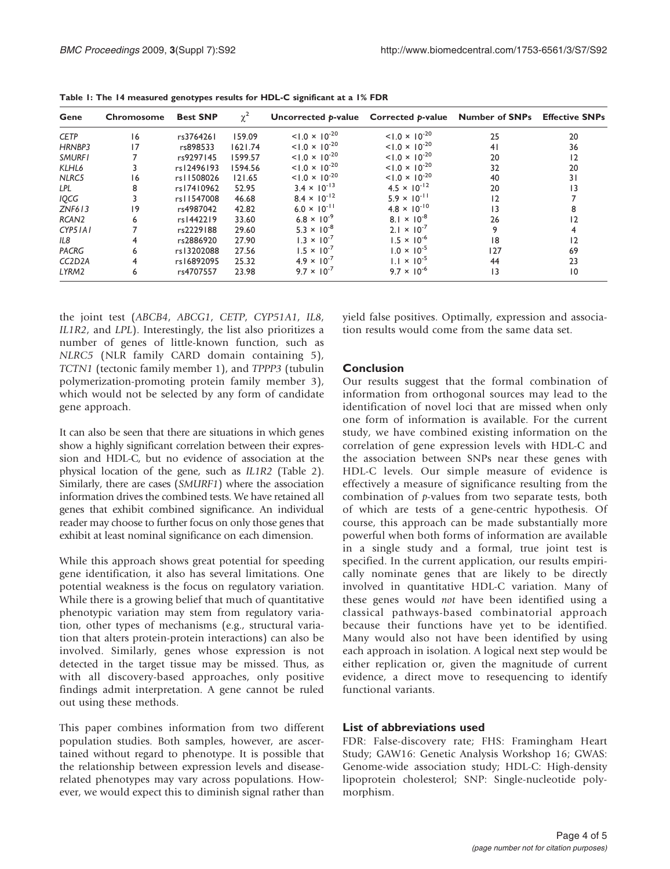| Gene                             | Chromosome | <b>Best SNP</b> | $\chi^2$ | Uncorrected p-value Corrected p-value Number of SNPs Effective SNPs |                         |     |                 |
|----------------------------------|------------|-----------------|----------|---------------------------------------------------------------------|-------------------------|-----|-----------------|
| <b>CETP</b>                      | 16         | rs3764261       | 159.09   | $< 1.0 \times 10^{-20}$                                             | $< 1.0 \times 10^{-20}$ | 25  | 20              |
| HRNBP3                           | 17         | rs898533        | 1621.74  | $< 1.0 \times 10^{-20}$                                             | $< 1.0 \times 10^{-20}$ | 41  | 36              |
| <b>SMURFI</b>                    |            | rs9297145       | 1599.57  | $< 1.0 \times 10^{-20}$                                             | $< 1.0 \times 10^{-20}$ | 20  | 2               |
| KLHL6                            |            | rs12496193      | 1594.56  | $< 1.0 \times 10^{-20}$                                             | $< 1.0 \times 10^{-20}$ | 32  | 20              |
| NLRC5                            | 16         | rs11508026      | 121.65   | $< 1.0 \times 10^{-20}$                                             | $< 1.0 \times 10^{-20}$ | 40  | 31              |
| LPL                              | 8          | rs17410962      | 52.95    | $3.4 \times 10^{-13}$                                               | $4.5 \times 10^{-12}$   | 20  | 3               |
| IQCG                             | 3          | rs11547008      | 46.68    | $8.4 \times 10^{-12}$                                               | $5.9 \times 10^{-11}$   | 12  |                 |
| ZNF613                           | 19         | rs4987042       | 42.82    | $6.0 \times 10^{-11}$                                               | $4.8 \times 10^{-10}$   | 3   | 8               |
| RCAN <sub>2</sub>                | 6          | rs1442219       | 33.60    | $6.8 \times 10^{-9}$                                                | $8.1 \times 10^{-8}$    | 26  | 2               |
| CYP51A1                          |            | rs2229188       | 29.60    | $5.3 \times 10^{-8}$                                                | $2.1 \times 10^{-7}$    | 9   |                 |
| IL8                              |            | rs2886920       | 27.90    | $1.3 \times 10^{-7}$                                                | $1.5 \times 10^{-6}$    | 18  | 2               |
| <b>PACRG</b>                     | 6          | rs13202088      | 27.56    | $1.5 \times 10^{-7}$                                                | $1.0 \times 10^{-5}$    | 127 | 69              |
| CC <sub>2</sub> D <sub>2</sub> A | 4          | rs16892095      | 25.32    | $4.9 \times 10^{-7}$                                                | $1.1 \times 10^{-5}$    | 44  | 23              |
| LYRM2                            | 6          | rs4707557       | 23.98    | $9.7 \times 10^{-7}$                                                | $9.7 \times 10^{-6}$    | 13  | $\overline{10}$ |

<span id="page-3-0"></span>Table 1: The 14 measured genotypes results for HDL-C significant at a 1% FDR

the joint test (ABCB4, ABCG1, CETP, CYP51A1, IL8, IL1R2, and LPL). Interestingly, the list also prioritizes a number of genes of little-known function, such as NLRC5 (NLR family CARD domain containing 5), TCTN1 (tectonic family member 1), and TPPP3 (tubulin polymerization-promoting protein family member 3), which would not be selected by any form of candidate gene approach.

It can also be seen that there are situations in which genes show a highly significant correlation between their expression and HDL-C, but no evidence of association at the physical location of the gene, such as IL1R2 (Table 2). Similarly, there are cases (SMURF1) where the association information drives the combined tests. We have retained all genes that exhibit combined significance. An individual reader may choose to further focus on only those genes that exhibit at least nominal significance on each dimension.

While this approach shows great potential for speeding gene identification, it also has several limitations. One potential weakness is the focus on regulatory variation. While there is a growing belief that much of quantitative phenotypic variation may stem from regulatory variation, other types of mechanisms (e.g., structural variation that alters protein-protein interactions) can also be involved. Similarly, genes whose expression is not detected in the target tissue may be missed. Thus, as with all discovery-based approaches, only positive findings admit interpretation. A gene cannot be ruled out using these methods.

This paper combines information from two different population studies. Both samples, however, are ascertained without regard to phenotype. It is possible that the relationship between expression levels and diseaserelated phenotypes may vary across populations. However, we would expect this to diminish signal rather than

yield false positives. Optimally, expression and association results would come from the same data set.

## Conclusion

Our results suggest that the formal combination of information from orthogonal sources may lead to the identification of novel loci that are missed when only one form of information is available. For the current study, we have combined existing information on the correlation of gene expression levels with HDL-C and the association between SNPs near these genes with HDL-C levels. Our simple measure of evidence is effectively a measure of significance resulting from the combination of p-values from two separate tests, both of which are tests of a gene-centric hypothesis. Of course, this approach can be made substantially more powerful when both forms of information are available in a single study and a formal, true joint test is specified. In the current application, our results empirically nominate genes that are likely to be directly involved in quantitative HDL-C variation. Many of these genes would not have been identified using a classical pathways-based combinatorial approach because their functions have yet to be identified. Many would also not have been identified by using each approach in isolation. A logical next step would be either replication or, given the magnitude of current evidence, a direct move to resequencing to identify functional variants.

#### List of abbreviations used

FDR: False-discovery rate; FHS: Framingham Heart Study; GAW16: Genetic Analysis Workshop 16; GWAS: Genome-wide association study; HDL-C: High-density lipoprotein cholesterol; SNP: Single-nucleotide polymorphism.